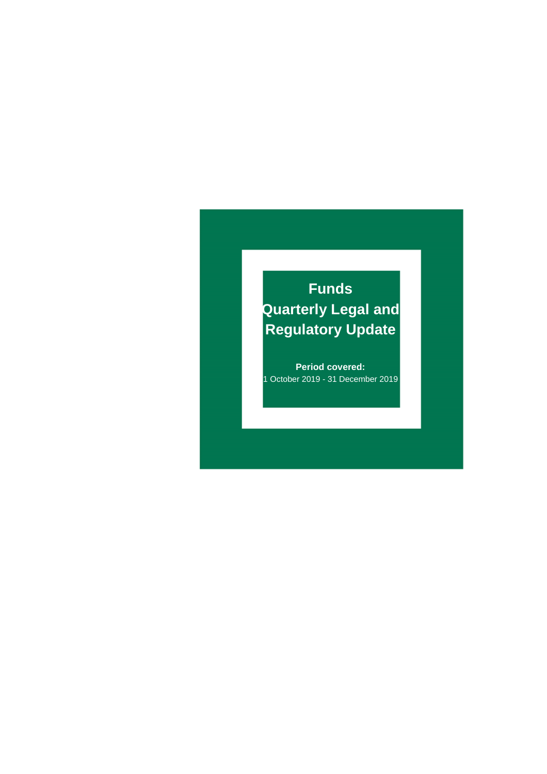# **Funds Quarterly Legal and Regulatory Update**

**Period covered:** 1 October 2019 - 31 December 2019

Funds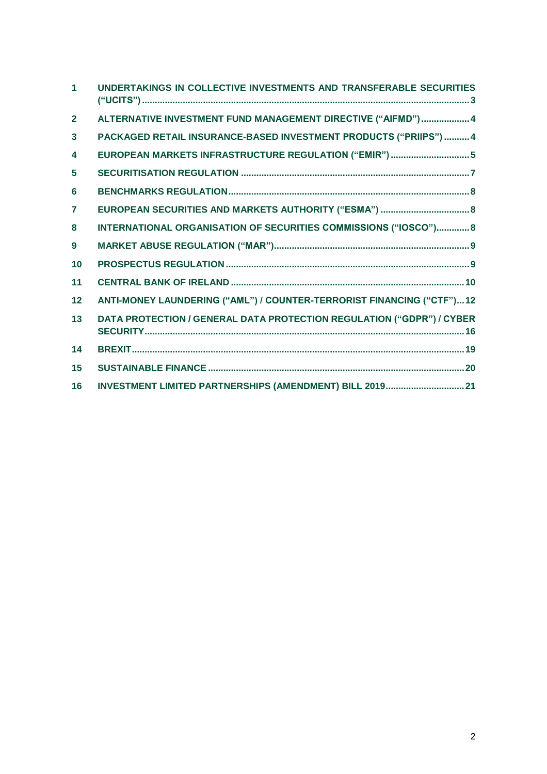| $\blacktriangleleft$ | UNDERTAKINGS IN COLLECTIVE INVESTMENTS AND TRANSFERABLE SECURITIES    |
|----------------------|-----------------------------------------------------------------------|
| $\overline{2}$       | ALTERNATIVE INVESTMENT FUND MANAGEMENT DIRECTIVE ("AIFMD")  4         |
| 3                    | PACKAGED RETAIL INSURANCE-BASED INVESTMENT PRODUCTS ("PRIIPS")  4     |
| 4                    | EUROPEAN MARKETS INFRASTRUCTURE REGULATION ("EMIR")  5                |
| 5                    |                                                                       |
| 6                    |                                                                       |
| 7                    | EUROPEAN SECURITIES AND MARKETS AUTHORITY ("ESMA")  8                 |
| 8                    | INTERNATIONAL ORGANISATION OF SECURITIES COMMISSIONS ("IOSCO") 8      |
| 9                    |                                                                       |
| 10                   |                                                                       |
| 11                   |                                                                       |
| 12                   | ANTI-MONEY LAUNDERING ("AML") / COUNTER-TERRORIST FINANCING ("CTF")12 |
| 13                   | DATA PROTECTION / GENERAL DATA PROTECTION REGULATION ("GDPR") / CYBER |
| 14                   |                                                                       |
| 15                   |                                                                       |
| 16                   | INVESTMENT LIMITED PARTNERSHIPS (AMENDMENT) BILL 2019 21              |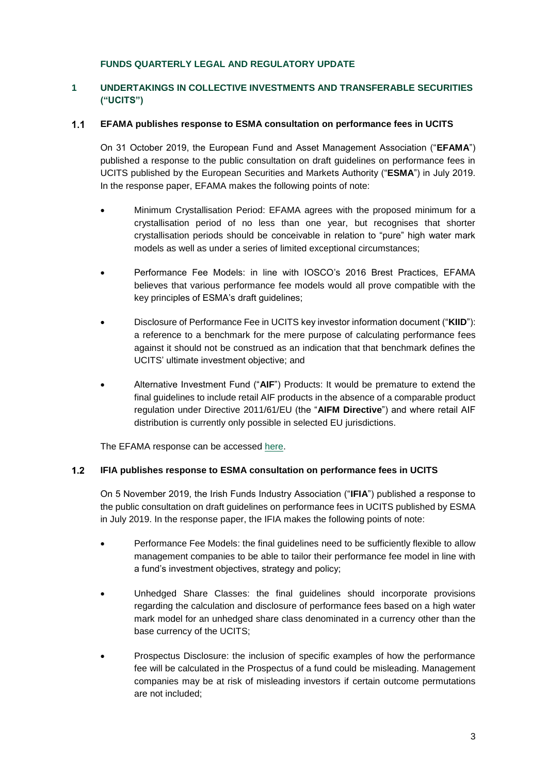#### **FUNDS QUARTERLY LEGAL AND REGULATORY UPDATE**

### <span id="page-2-0"></span>**1 UNDERTAKINGS IN COLLECTIVE INVESTMENTS AND TRANSFERABLE SECURITIES ("UCITS")**

#### $1.1$ **EFAMA publishes response to ESMA consultation on performance fees in UCITS**

On 31 October 2019, the European Fund and Asset Management Association ("**EFAMA**") published a response to the public consultation on draft guidelines on performance fees in UCITS published by the European Securities and Markets Authority ("**ESMA**") in July 2019. In the response paper, EFAMA makes the following points of note:

- Minimum Crystallisation Period: EFAMA agrees with the proposed minimum for a crystallisation period of no less than one year, but recognises that shorter crystallisation periods should be conceivable in relation to "pure" high water mark models as well as under a series of limited exceptional circumstances;
- Performance Fee Models: in line with IOSCO's 2016 Brest Practices, EFAMA believes that various performance fee models would all prove compatible with the key principles of ESMA's draft guidelines;
- Disclosure of Performance Fee in UCITS key investor information document ("**KIID**"): a reference to a benchmark for the mere purpose of calculating performance fees against it should not be construed as an indication that that benchmark defines the UCITS' ultimate investment objective; and
- Alternative Investment Fund ("**AIF**") Products: It would be premature to extend the final guidelines to include retail AIF products in the absence of a comparable product regulation under Directive 2011/61/EU (the "**AIFM Directive**") and where retail AIF distribution is currently only possible in selected EU jurisdictions.

The EFAMA response can be accessed [here.](https://www.efama.org/Publications/Public/UCITS/19-4093.pdf)

#### $1.2$ **IFIA publishes response to ESMA consultation on performance fees in UCITS**

On 5 November 2019, the Irish Funds Industry Association ("**IFIA**") published a response to the public consultation on draft guidelines on performance fees in UCITS published by ESMA in July 2019. In the response paper, the IFIA makes the following points of note:

- Performance Fee Models: the final guidelines need to be sufficiently flexible to allow management companies to be able to tailor their performance fee model in line with a fund's investment objectives, strategy and policy;
- Unhedged Share Classes: the final guidelines should incorporate provisions regarding the calculation and disclosure of performance fees based on a high water mark model for an unhedged share class denominated in a currency other than the base currency of the UCITS;
- Prospectus Disclosure: the inclusion of specific examples of how the performance fee will be calculated in the Prospectus of a fund could be misleading. Management companies may be at risk of misleading investors if certain outcome permutations are not included;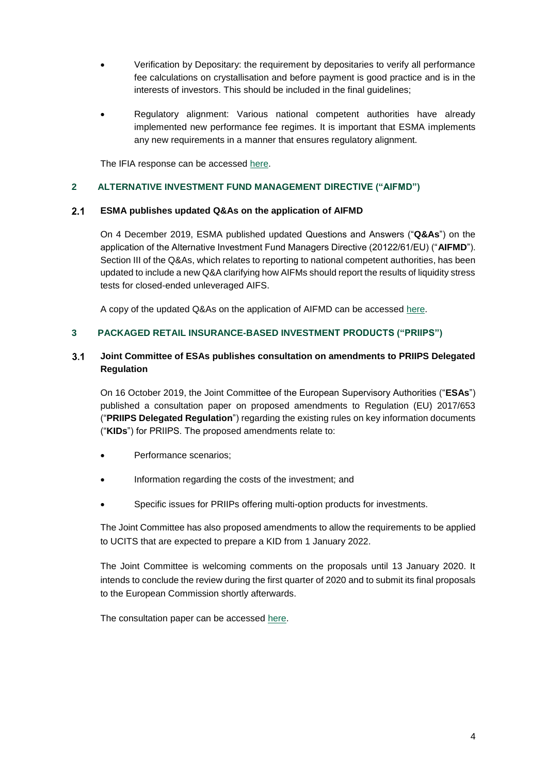- Verification by Depositary: the requirement by depositaries to verify all performance fee calculations on crystallisation and before payment is good practice and is in the interests of investors. This should be included in the final guidelines;
- Regulatory alignment: Various national competent authorities have already implemented new performance fee regimes. It is important that ESMA implements any new requirements in a manner that ensures regulatory alignment.

The IFIA response can be accessed [here.](https://irishfunds-secure.s3.amazonaws.com/1572950464-ESMA_PFG_IRISHFUNDS_RESPONSEFORM.pdf?_cldee=YnJpYW4uZGlsbG9uQGRpbGxvbmV1c3RhY2UuaWU%3d&recipientid=contact-e651af6d1255e411b40dd89d67632eac-52f8182854e24c00858931e0bb055b64&esid=2ef41348-b7ff-e911-a811-000d3ab4df6c)

#### <span id="page-3-0"></span>**2 ALTERNATIVE INVESTMENT FUND MANAGEMENT DIRECTIVE ("AIFMD")**

#### $2.1$ **ESMA publishes updated Q&As on the application of AIFMD**

On 4 December 2019, ESMA published updated Questions and Answers ("**Q&As**") on the application of the Alternative Investment Fund Managers Directive (20122/61/EU) ("**AIFMD**"). Section III of the Q&As, which relates to reporting to national competent authorities, has been updated to include a new Q&A clarifying how AIFMs should report the results of liquidity stress tests for closed-ended unleveraged AIFS.

A copy of the updated Q&As on the application of AIFMD can be accessed [here.](https://www.esma.europa.eu/press-news/esma-news/esma-updates-aifmd-qa-0)

#### <span id="page-3-1"></span>**3 PACKAGED RETAIL INSURANCE-BASED INVESTMENT PRODUCTS ("PRIIPS")**

#### $3.1$ **Joint Committee of ESAs publishes consultation on amendments to PRIIPS Delegated Regulation**

On 16 October 2019, the Joint Committee of the European Supervisory Authorities ("**ESAs**") published a consultation paper on proposed amendments to Regulation (EU) 2017/653 ("**PRIIPS Delegated Regulation**") regarding the existing rules on key information documents ("**KIDs**") for PRIIPS. The proposed amendments relate to:

- Performance scenarios;
- Information regarding the costs of the investment; and
- Specific issues for PRIIPs offering multi-option products for investments.

The Joint Committee has also proposed amendments to allow the requirements to be applied to UCITS that are expected to prepare a KID from 1 January 2022.

The Joint Committee is welcoming comments on the proposals until 13 January 2020. It intends to conclude the review during the first quarter of 2020 and to submit its final proposals to the European Commission shortly afterwards.

The consultation paper can be accessed [here.](https://eiopa.europa.eu/Publications/JC-2019-63_Consultation_Paper_amendments_PRIIPs%20KID.pdf)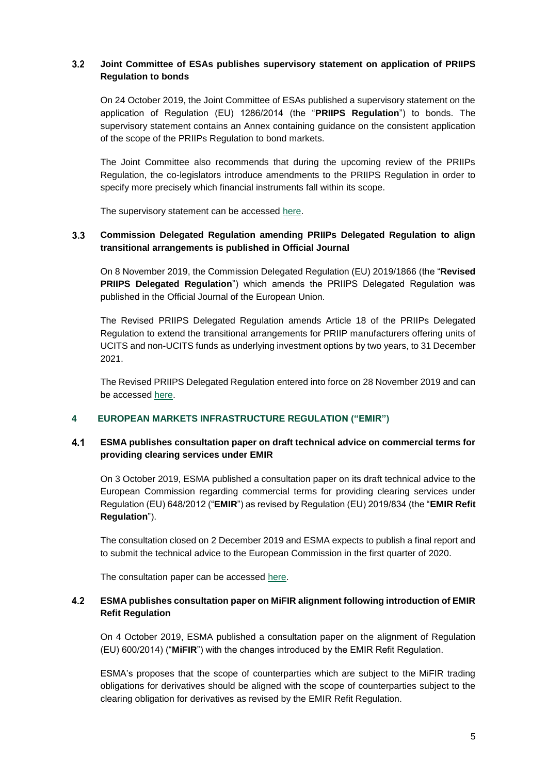#### $3.2$ **Joint Committee of ESAs publishes supervisory statement on application of PRIIPS Regulation to bonds**

On 24 October 2019, the Joint Committee of ESAs published a supervisory statement on the application of Regulation (EU) 1286/2014 (the "**PRIIPS Regulation**") to bonds. The supervisory statement contains an Annex containing guidance on the consistent application of the scope of the PRIIPs Regulation to bond markets.

The Joint Committee also recommends that during the upcoming review of the PRIIPs Regulation, the co-legislators introduce amendments to the PRIIPS Regulation in order to specify more precisely which financial instruments fall within its scope.

The supervisory statement can be accessed [here.](https://eiopa.europa.eu/Publications/JC-2019-64_PRIIPs_KID_Supervisory_Statement_bonds.pdf)

#### $3.3$ **Commission Delegated Regulation amending PRIIPs Delegated Regulation to align transitional arrangements is published in Official Journal**

On 8 November 2019, the Commission Delegated Regulation (EU) 2019/1866 (the "**Revised PRIIPS Delegated Regulation**") which amends the PRIIPS Delegated Regulation was published in the Official Journal of the European Union.

The Revised PRIIPS Delegated Regulation amends Article 18 of the PRIIPs Delegated Regulation to extend the transitional arrangements for PRIIP manufacturers offering units of UCITS and non-UCITS funds as underlying investment options by two years, to 31 December 2021.

The Revised PRIIPS Delegated Regulation entered into force on 28 November 2019 and can be accessed [here.](https://eur-lex.europa.eu/legal-content/EN/TXT/PDF/?uri=CELEX:32019R1866&from=EN)

#### <span id="page-4-0"></span>**4 EUROPEAN MARKETS INFRASTRUCTURE REGULATION ("EMIR")**

#### $4.1$ **ESMA publishes consultation paper on draft technical advice on commercial terms for providing clearing services under EMIR**

On 3 October 2019, ESMA published a consultation paper on its draft technical advice to the European Commission regarding commercial terms for providing clearing services under Regulation (EU) 648/2012 ("**EMIR**") as revised by Regulation (EU) 2019/834 (the "**EMIR Refit Regulation**").

The consultation closed on 2 December 2019 and ESMA expects to publish a final report and to submit the technical advice to the European Commission in the first quarter of 2020.

The consultation paper can be accessed [here.](https://www.esma.europa.eu/sites/default/files/library/esma70-151-2672_ta-frandt_art_43a.pdf)

#### $4.2$ **ESMA publishes consultation paper on MiFIR alignment following introduction of EMIR Refit Regulation**

On 4 October 2019, ESMA published a consultation paper on the alignment of Regulation (EU) 600/2014) ("**MiFIR**") with the changes introduced by the EMIR Refit Regulation.

ESMA's proposes that the scope of counterparties which are subject to the MiFIR trading obligations for derivatives should be aligned with the scope of counterparties subject to the clearing obligation for derivatives as revised by the EMIR Refit Regulation.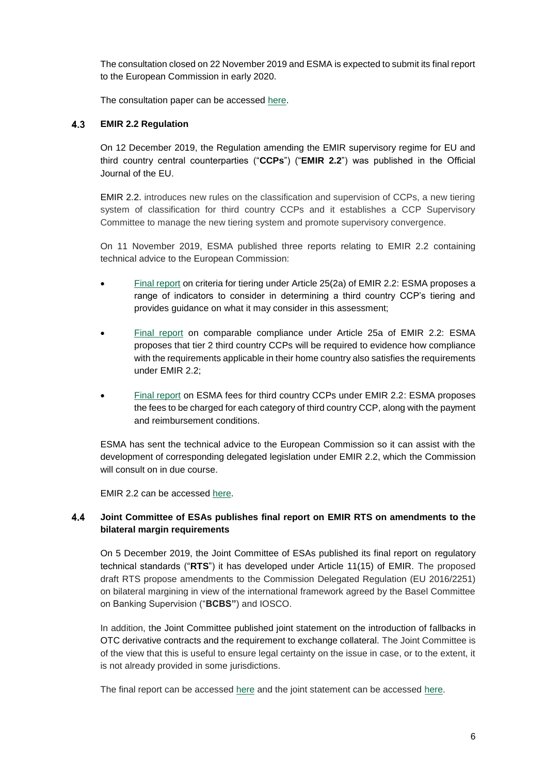The consultation closed on 22 November 2019 and ESMA is expected to submit its final report to the European Commission in early 2020.

The consultation paper can be accessed [here.](https://www.esma.europa.eu/sites/default/files/library/esma70-156-1555_consultation_paper_on_emir_refit_report_-_clearing_and_trading_obligations.pdf)

#### 4.3 **EMIR 2.2 Regulation**

On 12 December 2019, the Regulation amending the EMIR supervisory regime for EU and third country central counterparties ("**CCPs**") ("**EMIR 2.2**") was published in the Official Journal of the EU.

EMIR 2.2. introduces new rules on the classification and supervision of CCPs, a new tiering system of classification for third country CCPs and it establishes a CCP Supervisory Committee to manage the new tiering system and promote supervisory convergence.

On 11 November 2019, ESMA published three reports relating to EMIR 2.2 containing technical advice to the European Commission:

- [Final report](https://www.esma.europa.eu/sites/default/files/library/esma70-151-2682_final_technical_advice_on_tiering_criteria_under_emir_2.2.pdf) on criteria for tiering under Article 25(2a) of EMIR 2.2: ESMA proposes a range of indicators to consider in determining a third country CCP's tiering and provides guidance on what it may consider in this assessment;
- [Final report](https://www.esma.europa.eu/sites/default/files/library/esma70-151-2649_ta_on_comparable_compliance.pdf) on comparable compliance under Article 25a of EMIR 2.2: ESMA proposes that tier 2 third country CCPs will be required to evidence how compliance with the requirements applicable in their home country also satisfies the requirements under EMIR 2.2;
- [Final report](https://www.esma.europa.eu/sites/default/files/library/esma70-151-2650_final_report_on_ta_on_emir_2_2_ccp_fees.pdf) on ESMA fees for third country CCPs under EMIR 2.2: ESMA proposes the fees to be charged for each category of third country CCP, along with the payment and reimbursement conditions.

ESMA has sent the technical advice to the European Commission so it can assist with the development of corresponding delegated legislation under EMIR 2.2, which the Commission will consult on in due course.

EMIR 2.2 can be accessed [here.](https://eur-lex.europa.eu/legal-content/EN/TXT/PDF/?uri=OJ:L:2019:322:FULL&from=EN)

#### $4.4$ **Joint Committee of ESAs publishes final report on EMIR RTS on amendments to the bilateral margin requirements**

On 5 December 2019, the Joint Committee of ESAs published its final report on regulatory technical standards ("**RTS**") it has developed under Article 11(15) of EMIR. The proposed draft RTS propose amendments to the Commission Delegated Regulation (EU 2016/2251) on bilateral margining in view of the international framework agreed by the Basel Committee on Banking Supervision ("**BCBS"**) and IOSCO.

In addition, the Joint Committee published joint statement on the introduction of fallbacks in OTC derivative contracts and the requirement to exchange collateral. The Joint Committee is of the view that this is useful to ensure legal certainty on the issue in case, or to the extent, it is not already provided in some jurisdictions.

The final report can be accessed [here](https://www.esma.europa.eu/sites/default/files/library/esas_2019_20_-_final_report_-_bilateral_margin_amendments.pdf) and the joint statement can be accessed [here.](https://www.esma.europa.eu/sites/default/files/library/esas_2019_19_statement_on_the_introduction_of_fallbacks_in_otc_derivative_contracts_to_increase_contract_robustness.pdf)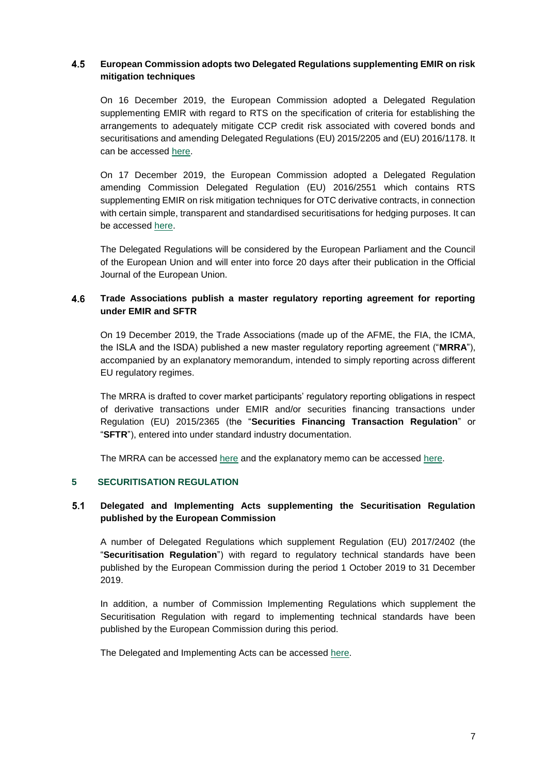#### 4.5 **European Commission adopts two Delegated Regulations supplementing EMIR on risk mitigation techniques**

On 16 December 2019, the European Commission adopted a Delegated Regulation supplementing EMIR with regard to RTS on the specification of criteria for establishing the arrangements to adequately mitigate CCP credit risk associated with covered bonds and securitisations and amending Delegated Regulations (EU) 2015/2205 and (EU) 2016/1178. It can be accessed [here.](https://ec.europa.eu/transparency/regdoc/rep/3/2019/EN/C-2019-8886-F1-EN-MAIN-PART-1.PDF)

On 17 December 2019, the European Commission adopted a Delegated Regulation amending Commission Delegated Regulation (EU) 2016/2551 which contains RTS supplementing EMIR on risk mitigation techniques for OTC derivative contracts, in connection with certain simple, transparent and standardised securitisations for hedging purposes. It can be accessed [here.](https://data.consilium.europa.eu/doc/document/ST-15227-2019-INIT/en/pdf)

The Delegated Regulations will be considered by the European Parliament and the Council of the European Union and will enter into force 20 days after their publication in the Official Journal of the European Union.

#### 4.6 **Trade Associations publish a master regulatory reporting agreement for reporting under EMIR and SFTR**

On 19 December 2019, the Trade Associations (made up of the AFME, the FIA, the ICMA, the ISLA and the ISDA) published a new master regulatory reporting agreement ("**MRRA**"), accompanied by an explanatory memorandum, intended to simply reporting across different EU regulatory regimes.

The MRRA is drafted to cover market participants' regulatory reporting obligations in respect of derivative transactions under EMIR and/or securities financing transactions under Regulation (EU) 2015/2365 (the "**Securities Financing Transaction Regulation**" or "**SFTR**"), entered into under standard industry documentation.

The MRRA can be accessed [here](https://protect-eu.mimecast.com/s/4b_PC68JyI4yRwHvlt9ih?domain=email.practicallaw.com) and the explanatory memo can be accessed [here.](https://www.isda.org/a/fVyTE/Master-Regulatory-Reporting-Agreement-Explanatory-Notes.pdf)

#### <span id="page-6-0"></span>**5 SECURITISATION REGULATION**

#### $5.1$ **Delegated and Implementing Acts supplementing the Securitisation Regulation published by the European Commission**

A number of Delegated Regulations which supplement Regulation (EU) 2017/2402 (the "**Securitisation Regulation**") with regard to regulatory technical standards have been published by the European Commission during the period 1 October 2019 to 31 December 2019.

In addition, a number of Commission Implementing Regulations which supplement the Securitisation Regulation with regard to implementing technical standards have been published by the European Commission during this period.

The Delegated and Implementing Acts can be accessed [here.](https://ec.europa.eu/info/law/securitisation-regulation-2017-2402/amending-and-supplementary-acts/implementing-and-delegated-acts_en)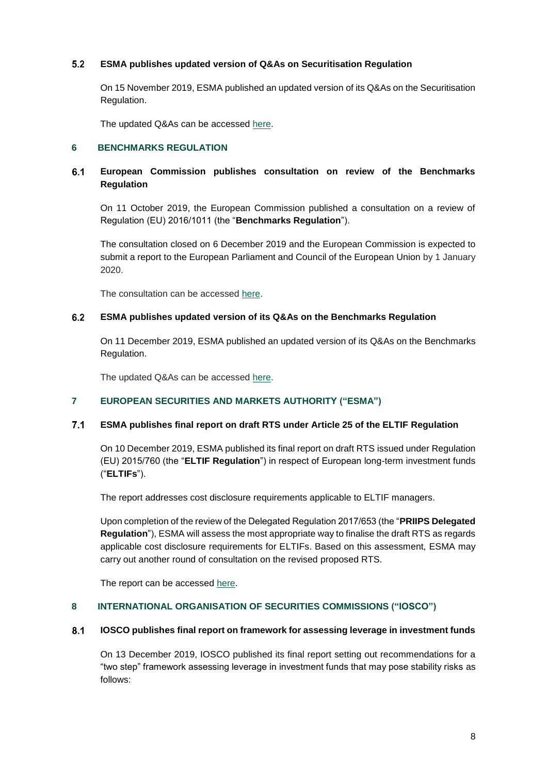#### $5.2$ **ESMA publishes updated version of Q&As on Securitisation Regulation**

On 15 November 2019, ESMA published an updated version of its Q&As on the Securitisation Regulation.

The updated Q&As can be accessed [here.](https://www.esma.europa.eu/sites/default/files/library/esma33-128-563_questions_and_answers_on_securitisation.pdf)

#### <span id="page-7-0"></span>**6 BENCHMARKS REGULATION**

#### $6.1$ **European Commission publishes consultation on review of the Benchmarks Regulation**

On 11 October 2019, the European Commission published a consultation on a review of Regulation (EU) 2016/1011 (the "**Benchmarks Regulation**").

The consultation closed on 6 December 2019 and the European Commission is expected to submit a report to the European Parliament and Council of the European Union by 1 January 2020.

The consultation can be accessed [here.](https://ec.europa.eu/info/sites/info/files/business_economy_euro/banking_and_finance/documents/2019-benchmark-review-consultation-document_en.pdf)

#### $6.2$ **ESMA publishes updated version of its Q&As on the Benchmarks Regulation**

On 11 December 2019, ESMA published an updated version of its Q&As on the Benchmarks Regulation.

The updated Q&As can be accessed [here.](https://www.esma.europa.eu/sites/default/files/library/esma70-145-114_qas_on_bmr.pdf)

#### <span id="page-7-1"></span>**7 EUROPEAN SECURITIES AND MARKETS AUTHORITY ("ESMA")**

#### $7.1$ **ESMA publishes final report on draft RTS under Article 25 of the ELTIF Regulation**

On 10 December 2019, ESMA published its final report on draft RTS issued under Regulation (EU) 2015/760 (the "**ELTIF Regulation**") in respect of European long-term investment funds ("**ELTIFs**").

The report addresses cost disclosure requirements applicable to ELTIF managers.

Upon completion of the review of the Delegated Regulation 2017/653 (the "**PRIIPS Delegated Regulation**"), ESMA will assess the most appropriate way to finalise the draft RTS as regards applicable cost disclosure requirements for ELTIFs. Based on this assessment, ESMA may carry out another round of consultation on the revised proposed RTS.

The report can be accessed [here.](https://www.esma.europa.eu/sites/default/files/library/esma34-46-91_final_report_on_rts_under_article_25_of_the_eltif_regulation_0.pdf)

#### <span id="page-7-2"></span>**8 INTERNATIONAL ORGANISATION OF SECURITIES COMMISSIONS ("IOSCO")**

#### $8.1$ **IOSCO publishes final report on framework for assessing leverage in investment funds**

On 13 December 2019, IOSCO published its final report setting out recommendations for a "two step" framework assessing leverage in investment funds that may pose stability risks as follows: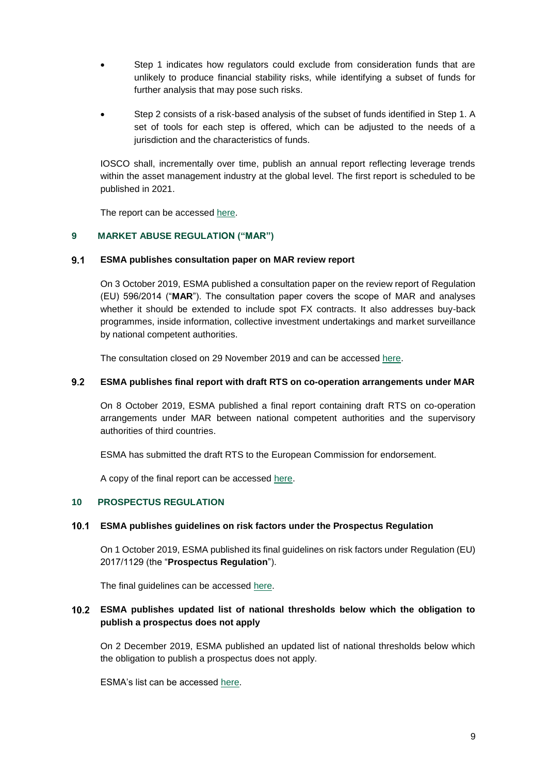- Step 1 indicates how regulators could exclude from consideration funds that are unlikely to produce financial stability risks, while identifying a subset of funds for further analysis that may pose such risks.
- Step 2 consists of a risk-based analysis of the subset of funds identified in Step 1. A set of tools for each step is offered, which can be adjusted to the needs of a jurisdiction and the characteristics of funds.

IOSCO shall, incrementally over time, publish an annual report reflecting leverage trends within the asset management industry at the global level. The first report is scheduled to be published in 2021.

The report can be accessed [here.](https://www.iosco.org/library/pubdocs/pdf/IOSCOPD645.pdf)

#### <span id="page-8-0"></span>**9 MARKET ABUSE REGULATION ("MAR")**

#### $9.1$ **ESMA publishes consultation paper on MAR review report**

On 3 October 2019, ESMA published a consultation paper on the review report of Regulation (EU) 596/2014 ("**MAR**"). The consultation paper covers the scope of MAR and analyses whether it should be extended to include spot FX contracts. It also addresses buy-back programmes, inside information, collective investment undertakings and market surveillance by national competent authorities.

The consultation closed on 29 November 2019 and can be accessed [here.](https://www.esma.europa.eu/sites/default/files/library/mar_review_-_cp.pdf)

#### $9.2$ **ESMA publishes final report with draft RTS on co-operation arrangements under MAR**

On 8 October 2019, ESMA published a final report containing draft RTS on co-operation arrangements under MAR between national competent authorities and the supervisory authorities of third countries.

ESMA has submitted the draft RTS to the European Commission for endorsement.

A copy of the final report can be accessed [here.](https://www.esma.europa.eu/press-news/esma-news/esma-adopts-mar-standards-supervisory-cooperation)

#### <span id="page-8-1"></span>**10 PROSPECTUS REGULATION**

#### **ESMA publishes guidelines on risk factors under the Prospectus Regulation**

On 1 October 2019, ESMA published its final guidelines on risk factors under Regulation (EU) 2017/1129 (the "**Prospectus Regulation**").

The final guidelines can be accessed [here.](https://www.esma.europa.eu/sites/default/files/library/esma31-62-1293_guidelines_on_risk_factors_under_the_prospectus_regulation.pdf)

#### **ESMA publishes updated list of national thresholds below which the obligation to publish a prospectus does not apply**

On 2 December 2019, ESMA published an updated list of national thresholds below which the obligation to publish a prospectus does not apply.

ESMA's list can be accessed [here.](https://www.esma.europa.eu/sites/default/files/library/esma31-62-1193_prospectus_thresholds.pdf)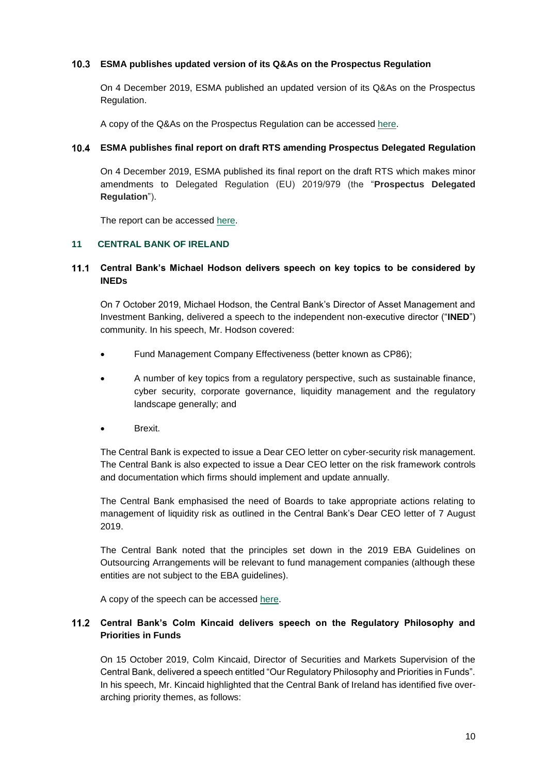#### **ESMA publishes updated version of its Q&As on the Prospectus Regulation**

On 4 December 2019, ESMA published an updated version of its Q&As on the Prospectus Regulation.

A copy of the Q&As on the Prospectus Regulation can be accessed [here.](https://www.esma.europa.eu/press-news/esma-news/esma-updates-its-qas-relating-prospectus-regulation-0)

#### **ESMA publishes final report on draft RTS amending Prospectus Delegated Regulation**

On 4 December 2019, ESMA published its final report on the draft RTS which makes minor amendments to Delegated Regulation (EU) 2019/979 (the "**Prospectus Delegated Regulation**").

The report can be accessed [here.](https://www.esma.europa.eu/sites/default/files/library/esma31-59-1417_esma_amendments_to_an_rts_relating_to_the_pr.pdf)

# <span id="page-9-0"></span>**11 CENTRAL BANK OF IRELAND**

### **Central Bank's Michael Hodson delivers speech on key topics to be considered by INEDs**

On 7 October 2019, Michael Hodson, the Central Bank's Director of Asset Management and Investment Banking, delivered a speech to the independent non-executive director ("**INED**") community. In his speech, Mr. Hodson covered:

- Fund Management Company Effectiveness (better known as CP86);
- A number of key topics from a regulatory perspective, such as sustainable finance, cyber security, corporate governance, liquidity management and the regulatory landscape generally; and
- Brexit.

The Central Bank is expected to issue a Dear CEO letter on cyber-security risk management. The Central Bank is also expected to issue a Dear CEO letter on the risk framework controls and documentation which firms should implement and update annually.

The Central Bank emphasised the need of Boards to take appropriate actions relating to management of liquidity risk as outlined in the Central Bank's Dear CEO letter of 7 August 2019.

The Central Bank noted that the principles set down in the 2019 EBA Guidelines on Outsourcing Arrangements will be relevant to fund management companies (although these entities are not subject to the EBA guidelines).

A copy of the speech can be accessed [here.](https://www.centralbank.ie/news/article/speech-michael-hodson-ineds-07-october-2019)

# **Central Bank's Colm Kincaid delivers speech on the Regulatory Philosophy and Priorities in Funds**

On 15 October 2019, Colm Kincaid, Director of Securities and Markets Supervision of the Central Bank, delivered a speech entitled "Our Regulatory Philosophy and Priorities in Funds". In his speech, Mr. Kincaid highlighted that the Central Bank of Ireland has identified five overarching priority themes, as follows: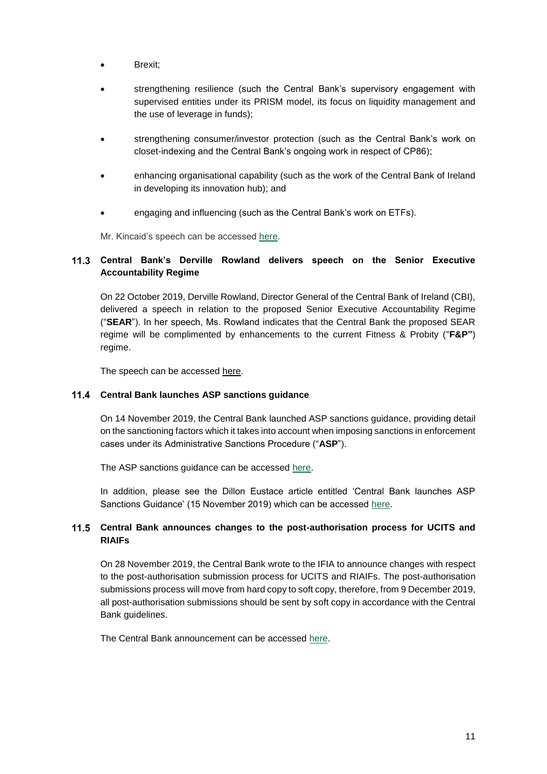- Brexit;
- strengthening resilience (such the Central Bank's supervisory engagement with supervised entities under its PRISM model, its focus on liquidity management and the use of leverage in funds);
- strengthening consumer/investor protection (such as the Central Bank's work on closet-indexing and the Central Bank's ongoing work in respect of CP86);
- enhancing organisational capability (such as the work of the Central Bank of Ireland in developing its innovation hub); and
- engaging and influencing (such as the Central Bank's work on ETFs).

Mr. Kincaid's speech can be accessed [here.](https://www.centralbank.ie/news/article/speech-philosophy-priorities-funds-colm-kincaid-15-oct-2019)

# **Central Bank's Derville Rowland delivers speech on the Senior Executive Accountability Regime**

On 22 October 2019, Derville Rowland, Director General of the Central Bank of Ireland (CBI), delivered a speech in relation to the proposed Senior Executive Accountability Regime ("**SEAR**"). In her speech, Ms. Rowland indicates that the Central Bank the proposed SEAR regime will be complimented by enhancements to the current Fitness & Probity ("**F&P"**) regime.

The speech can be accessed [here.](https://centralbank.ie/news/article/speech-senior-executive-accountability-regime-derville-rowland-22-oct-2019)

#### **Central Bank launches ASP sanctions guidance**

On 14 November 2019, the Central Bank launched ASP sanctions guidance, providing detail on the sanctioning factors which it takes into account when imposing sanctions in enforcement cases under its Administrative Sanctions Procedure ("**ASP**").

The ASP sanctions guidance can be accessed [here.](https://www.centralbank.ie/docs/default-source/regulation/how-we-regulate/enforcement/administrative-sanctions-procedure/asp-sanctions-guidance.pdf)

In addition, please see the Dillon Eustace article entitled 'Central Bank launches ASP Sanctions Guidance' (15 November 2019) which can be accessed [here.](https://www.dilloneustace.com/uploads/files/Central-Bank-launches-ASP-Sanctions-Guidance.pdf)

# **Central Bank announces changes to the post-authorisation process for UCITS and RIAIFs**

On 28 November 2019, the Central Bank wrote to the IFIA to announce changes with respect to the post-authorisation submission process for UCITS and RIAIFs. The post-authorisation submissions process will move from hard copy to soft copy, therefore, from 9 December 2019, all post-authorisation submissions should be sent by soft copy in accordance with the Central Bank guidelines.

The Central Bank announcement can be accessed [here.](https://www.irishfunds.ie/news-knowledge/news/regulatory-information-central-bank-changes-to-the-post-authorisation-submission-process-for-ucits)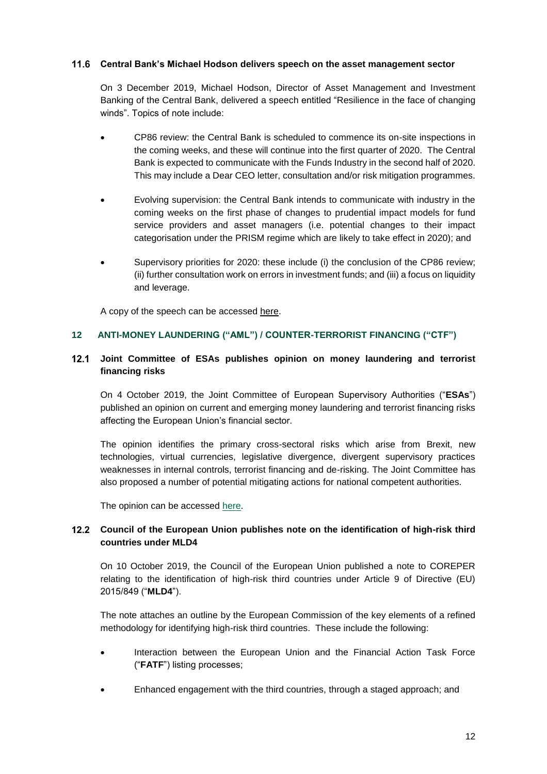#### **Central Bank's Michael Hodson delivers speech on the asset management sector**

On 3 December 2019, Michael Hodson, Director of Asset Management and Investment Banking of the Central Bank, delivered a speech entitled "Resilience in the face of changing winds". Topics of note include:

- CP86 review: the Central Bank is scheduled to commence its on-site inspections in the coming weeks, and these will continue into the first quarter of 2020. The Central Bank is expected to communicate with the Funds Industry in the second half of 2020. This may include a Dear CEO letter, consultation and/or risk mitigation programmes.
- Evolving supervision: the Central Bank intends to communicate with industry in the coming weeks on the first phase of changes to prudential impact models for fund service providers and asset managers (i.e. potential changes to their impact categorisation under the PRISM regime which are likely to take effect in 2020); and
- Supervisory priorities for 2020: these include (i) the conclusion of the CP86 review; (ii) further consultation work on errors in investment funds; and (iii) a focus on liquidity and leverage.

A copy of the speech can be accessed [here.](https://www.centralbank.ie/news/article/speech-resilience-in-the-face-of-changing-winds-michael-hodson-3-december-2019)

# <span id="page-11-0"></span>**12 ANTI-MONEY LAUNDERING ("AML") / COUNTER-TERRORIST FINANCING ("CTF")**

### **Joint Committee of ESAs publishes opinion on money laundering and terrorist financing risks**

On 4 October 2019, the Joint Committee of European Supervisory Authorities ("**ESAs**") published an opinion on current and emerging money laundering and terrorist financing risks affecting the European Union's financial sector.

The opinion identifies the primary cross-sectoral risks which arise from Brexit, new technologies, virtual currencies, legislative divergence, divergent supervisory practices weaknesses in internal controls, terrorist financing and de-risking. The Joint Committee has also proposed a number of potential mitigating actions for national competent authorities.

The opinion can be accessed [here.](https://eba.europa.eu/documents/10180/2622242/Joint+Opinion+on+the+risks+on+ML+and+TF+affecting+the+EU%27s+financial+sector.pdf)

# **Council of the European Union publishes note on the identification of high-risk third countries under MLD4**

On 10 October 2019, the Council of the European Union published a note to COREPER relating to the identification of high-risk third countries under Article 9 of Directive (EU) 2015/849 ("**MLD4**").

The note attaches an outline by the European Commission of the key elements of a refined methodology for identifying high-risk third countries. These include the following:

- Interaction between the European Union and the Financial Action Task Force ("**FATF**") listing processes;
- Enhanced engagement with the third countries, through a staged approach; and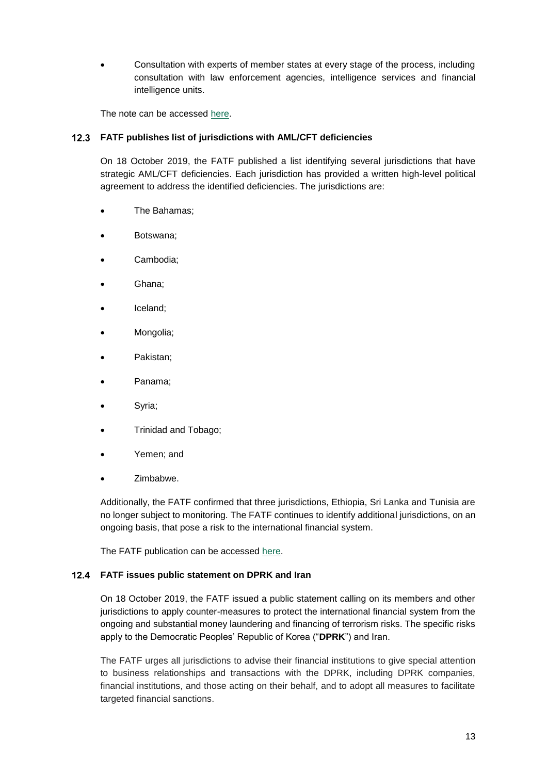Consultation with experts of member states at every stage of the process, including consultation with law enforcement agencies, intelligence services and financial intelligence units.

The note can be accessed [here.](https://data.consilium.europa.eu/doc/document/ST-12418-2019-INIT/en/pdf)

# **FATF publishes list of jurisdictions with AML/CFT deficiencies**

On 18 October 2019, the FATF published a list identifying several jurisdictions that have strategic AML/CFT deficiencies. Each jurisdiction has provided a written high-level political agreement to address the identified deficiencies. The jurisdictions are:

- The Bahamas;
- Botswana;
- Cambodia;
- Ghana;
- Iceland;
- Mongolia;
- Pakistan;
- Panama;
- Syria;
- Trinidad and Tobago;
- Yemen; and
- Zimbabwe.

Additionally, the FATF confirmed that three jurisdictions, Ethiopia, Sri Lanka and Tunisia are no longer subject to monitoring. The FATF continues to identify additional jurisdictions, on an ongoing basis, that pose a risk to the international financial system.

The FATF publication can be accessed [here.](http://www.fatf-gafi.org/publications/high-risk-and-other-monitored-jurisdictions/documents/fatf-compliance-october-2019.html)

# **FATF issues public statement on DPRK and Iran**

On 18 October 2019, the FATF issued a public statement calling on its members and other jurisdictions to apply counter-measures to protect the international financial system from the ongoing and substantial money laundering and financing of terrorism risks. The specific risks apply to the Democratic Peoples' Republic of Korea ("**DPRK**") and Iran.

The FATF urges all jurisdictions to advise their financial institutions to give special attention to business relationships and transactions with the DPRK, including DPRK companies, financial institutions, and those acting on their behalf, and to adopt all measures to facilitate targeted financial sanctions.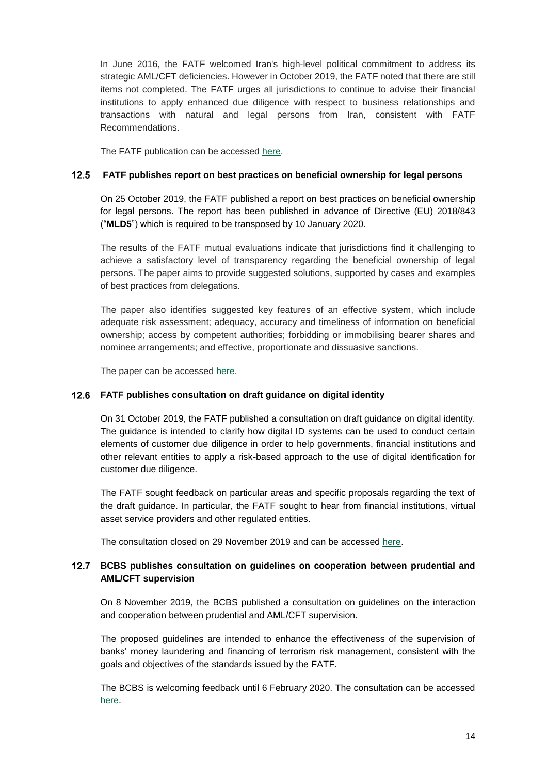In June 2016, the FATF welcomed Iran's high-level political commitment to address its strategic AML/CFT deficiencies. However in October 2019, the FATF noted that there are still items not completed. The FATF urges all jurisdictions to continue to advise their financial institutions to apply enhanced due diligence with respect to business relationships and transactions with natural and legal persons from Iran, consistent with FATF Recommendations.

The FATF publication can be accessed [here.](http://www.fatf-gafi.org/publications/high-risk-and-other-monitored-jurisdictions/documents/public-statement-october-2019.html)

#### **FATF publishes report on best practices on beneficial ownership for legal persons**

On 25 October 2019, the FATF published a report on best practices on beneficial ownership for legal persons. The report has been published in advance of Directive (EU) 2018/843 ("**MLD5**") which is required to be transposed by 10 January 2020.

The results of the FATF mutual evaluations indicate that jurisdictions find it challenging to achieve a satisfactory level of transparency regarding the beneficial ownership of legal persons. The paper aims to provide suggested solutions, supported by cases and examples of best practices from delegations.

The paper also identifies suggested key features of an effective system, which include adequate risk assessment; adequacy, accuracy and timeliness of information on beneficial ownership; access by competent authorities; forbidding or immobilising bearer shares and nominee arrangements; and effective, proportionate and dissuasive sanctions.

The paper can be accessed [here.](http://www.fatf-gafi.org/media/fatf/documents/Best-Practices-Beneficial-Ownership-Legal-Persons.pdf)

#### **FATF publishes consultation on draft guidance on digital identity**

On 31 October 2019, the FATF published a consultation on draft guidance on digital identity. The guidance is intended to clarify how digital ID systems can be used to conduct certain elements of customer due diligence in order to help governments, financial institutions and other relevant entities to apply a risk-based approach to the use of digital identification for customer due diligence.

The FATF sought feedback on particular areas and specific proposals regarding the text of the draft guidance. In particular, the FATF sought to hear from financial institutions, virtual asset service providers and other regulated entities.

The consultation closed on 29 November 2019 and can be accessed [here.](https://protect-eu.mimecast.com/s/x2GgCW6NvhJ25Btnw8sbW?domain=email.practicallaw.com)

#### **BCBS publishes consultation on guidelines on cooperation between prudential and AML/CFT supervision**

On 8 November 2019, the BCBS published a consultation on guidelines on the interaction and cooperation between prudential and AML/CFT supervision.

The proposed guidelines are intended to enhance the effectiveness of the supervision of banks' money laundering and financing of terrorism risk management, consistent with the goals and objectives of the standards issued by the FATF.

The BCBS is welcoming feedback until 6 February 2020. The consultation can be accessed [here.](https://www.bis.org/bcbs/publ/d483.pdf)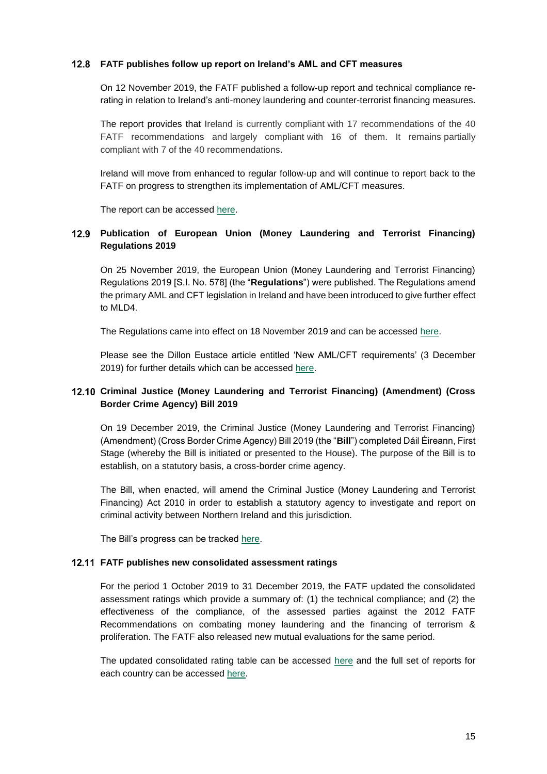#### **FATF publishes follow up report on Ireland's AML and CFT measures**

On 12 November 2019, the FATF published a follow-up report and technical compliance rerating in relation to Ireland's anti-money laundering and counter-terrorist financing measures.

The report provides that Ireland is currently compliant with 17 recommendations of the 40 FATF recommendations and largely compliant with 16 of them. It remains partially compliant with 7 of the 40 recommendations.

Ireland will move from enhanced to regular follow-up and will continue to report back to the FATF on progress to strengthen its implementation of AML/CFT measures.

The report can be accessed [here.](http://www.fatf-gafi.org/media/fatf/documents/reports/mer4/Follow-Up-Report-Ireland-2019.pdf)

# **Publication of European Union (Money Laundering and Terrorist Financing) Regulations 2019**

On 25 November 2019, the European Union (Money Laundering and Terrorist Financing) Regulations 2019 [S.I. No. 578] (the "**Regulations**") were published. The Regulations amend the primary AML and CFT legislation in Ireland and have been introduced to give further effect to MLD4.

The Regulations came into effect on 18 November 2019 and can be accessed [here.](http://www.irishstatutebook.ie/eli/2019/si/578/made/en/print)

Please see the Dillon Eustace article entitled 'New AML/CFT requirements' (3 December 2019) for further details which can be accessed [here.](https://www.dilloneustace.com/uploads/images/New-AML_CFT-Regulations_Dec_2019.pdf)

# **Criminal Justice (Money Laundering and Terrorist Financing) (Amendment) (Cross Border Crime Agency) Bill 2019**

On 19 December 2019, the Criminal Justice (Money Laundering and Terrorist Financing) (Amendment) (Cross Border Crime Agency) Bill 2019 (the "**Bill**") completed Dáil Éireann, First Stage (whereby the Bill is initiated or presented to the House). The purpose of the Bill is to establish, on a statutory basis, a cross-border crime agency.

The Bill, when enacted, will amend the Criminal Justice (Money Laundering and Terrorist Financing) Act 2010 in order to establish a statutory agency to investigate and report on criminal activity between Northern Ireland and this jurisdiction.

The Bill's progress can be tracked [here.](https://www.oireachtas.ie/en/bills/bill/2019/108/)

#### **FATF publishes new consolidated assessment ratings**

For the period 1 October 2019 to 31 December 2019, the FATF updated the consolidated assessment ratings which provide a summary of: (1) the technical compliance; and (2) the effectiveness of the compliance, of the assessed parties against the 2012 FATF Recommendations on combating money laundering and the financing of terrorism & proliferation. The FATF also released new mutual evaluations for the same period.

The updated consolidated rating table can be accessed [here](https://www.fatf-gafi.org/publications/mutualevaluations/documents/assessment-ratings.html) and the full set of reports for each country can be accessed [here.](http://www.fatf-gafi.org/publications/mutualevaluations/?hf=10&b=0&s=desc(fatf_releasedate))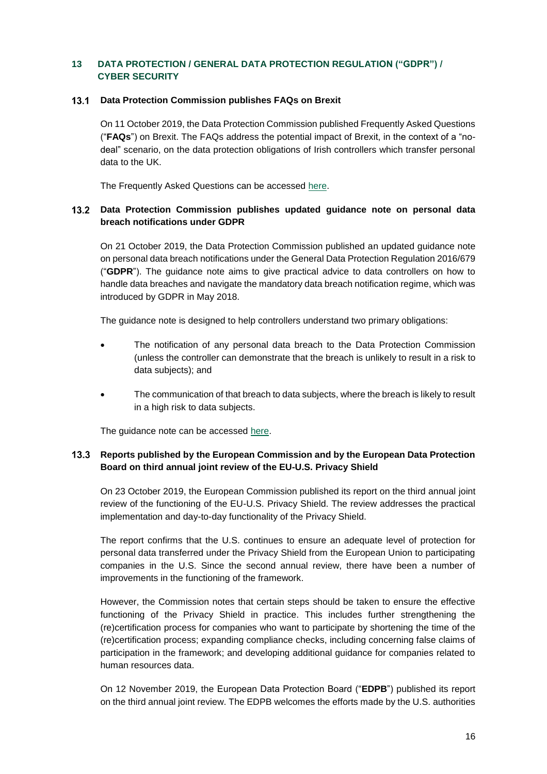# <span id="page-15-0"></span>**13 DATA PROTECTION / GENERAL DATA PROTECTION REGULATION ("GDPR") / CYBER SECURITY**

#### **Data Protection Commission publishes FAQs on Brexit**

On 11 October 2019, the Data Protection Commission published Frequently Asked Questions ("**FAQs**") on Brexit. The FAQs address the potential impact of Brexit, in the context of a "nodeal" scenario, on the data protection obligations of Irish controllers which transfer personal data to the UK.

The Frequently Asked Questions can be accessed [here.](https://www.dataprotection.ie/sites/default/files/uploads/2019-10/Brexit%20FAQ_pdf.pdf)

#### **Data Protection Commission publishes updated guidance note on personal data breach notifications under GDPR**

On 21 October 2019, the Data Protection Commission published an updated guidance note on personal data breach notifications under the General Data Protection Regulation 2016/679 ("**GDPR**"). The guidance note aims to give practical advice to data controllers on how to handle data breaches and navigate the mandatory data breach notification regime, which was introduced by GDPR in May 2018.

The guidance note is designed to help controllers understand two primary obligations:

- The notification of any personal data breach to the Data Protection Commission (unless the controller can demonstrate that the breach is unlikely to result in a risk to data subjects); and
- The communication of that breach to data subjects, where the breach is likely to result in a high risk to data subjects.

The guidance note can be accessed [here.](https://www.dataprotection.ie/sites/default/files/uploads/2019-10/Data%20Breach%20Notification_Practical%20Guidance_Oct19.pdf)

#### **Reports published by the European Commission and by the European Data Protection Board on third annual joint review of the EU-U.S. Privacy Shield**

On 23 October 2019, the European Commission published its report on the third annual joint review of the functioning of the EU-U.S. Privacy Shield. The review addresses the practical implementation and day-to-day functionality of the Privacy Shield.

The report confirms that the U.S. continues to ensure an adequate level of protection for personal data transferred under the Privacy Shield from the European Union to participating companies in the U.S. Since the second annual review, there have been a number of improvements in the functioning of the framework.

However, the Commission notes that certain steps should be taken to ensure the effective functioning of the Privacy Shield in practice. This includes further strengthening the (re)certification process for companies who want to participate by shortening the time of the (re)certification process; expanding compliance checks, including concerning false claims of participation in the framework; and developing additional guidance for companies related to human resources data.

On 12 November 2019, the European Data Protection Board ("**EDPB**") published its report on the third annual joint review. The EDPB welcomes the efforts made by the U.S. authorities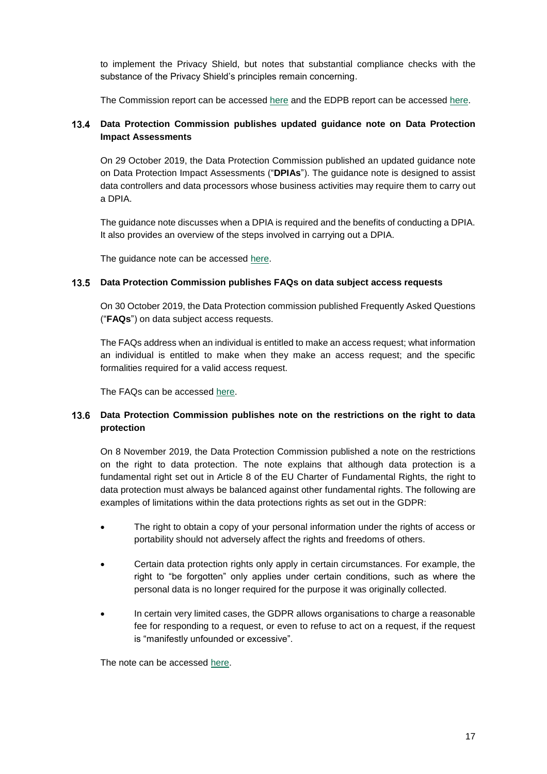to implement the Privacy Shield, but notes that substantial compliance checks with the substance of the Privacy Shield's principles remain concerning.

The Commission report can be accessed [here](https://ec.europa.eu/info/sites/info/files/report_on_the_third_annual_review_of_the_eu_us_privacy_shield_2019.pdf) and the EDPB report can be accessed [here.](https://edpb.europa.eu/sites/edpb/files/files/file1/edpbprivacyshield3rdannualreport.pdf_en.pdf)

# **Data Protection Commission publishes updated guidance note on Data Protection Impact Assessments**

On 29 October 2019, the Data Protection Commission published an updated guidance note on Data Protection Impact Assessments ("**DPIAs**"). The guidance note is designed to assist data controllers and data processors whose business activities may require them to carry out a DPIA.

The guidance note discusses when a DPIA is required and the benefits of conducting a DPIA. It also provides an overview of the steps involved in carrying out a DPIA.

The guidance note can be accessed [here.](https://www.dataprotection.ie/sites/default/files/uploads/2019-10/Guide%20to%20Data%20Protection%20Impact%20Assessments%20%28DPIAs%29_Oct19_0.pdf)

#### **Data Protection Commission publishes FAQs on data subject access requests**

On 30 October 2019, the Data Protection commission published Frequently Asked Questions ("**FAQs**") on data subject access requests.

The FAQs address when an individual is entitled to make an access request; what information an individual is entitled to make when they make an access request; and the specific formalities required for a valid access request.

The FAQs can be accessed [here.](https://www.dataprotection.ie/sites/default/files/uploads/2019-10/FAQ%20Guide%20to%20Data%20Subject%20Access%20Requests_Oct19.pdf)

#### 13.6 **Data Protection Commission publishes note on the restrictions on the right to data protection**

On 8 November 2019, the Data Protection Commission published a note on the restrictions on the right to data protection. The note explains that although data protection is a fundamental right set out in Article 8 of the EU Charter of Fundamental Rights, the right to data protection must always be balanced against other fundamental rights. The following are examples of limitations within the data protections rights as set out in the GDPR:

- The right to obtain a copy of your personal information under the rights of access or portability should not adversely affect the rights and freedoms of others.
- Certain data protection rights only apply in certain circumstances. For example, the right to "be forgotten" only applies under certain conditions, such as where the personal data is no longer required for the purpose it was originally collected.
- In certain very limited cases, the GDPR allows organisations to charge a reasonable fee for responding to a request, or even to refuse to act on a request, if the request is "manifestly unfounded or excessive".

The note can be accessed [here.](https://www.dataprotection.ie/en/news-media/blogs/data-protection-not-absolute-right)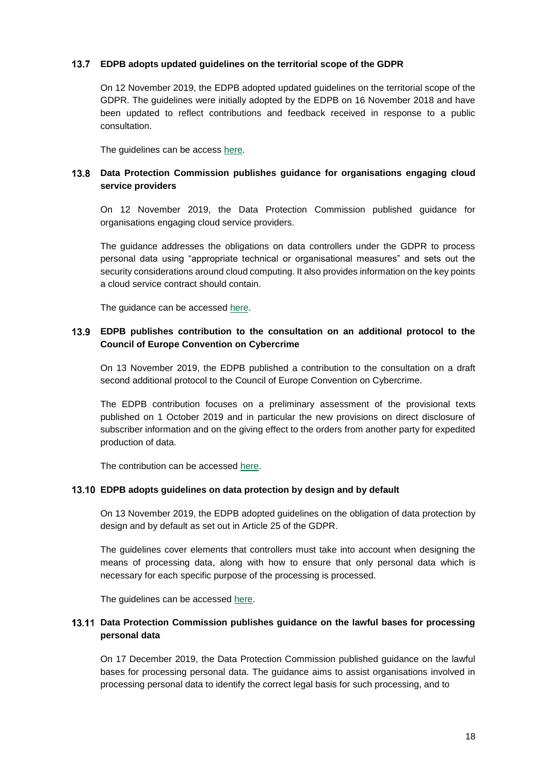#### **EDPB adopts updated guidelines on the territorial scope of the GDPR**

On 12 November 2019, the EDPB adopted updated guidelines on the territorial scope of the GDPR. The guidelines were initially adopted by the EDPB on 16 November 2018 and have been updated to reflect contributions and feedback received in response to a public consultation.

The guidelines can be access [here.](https://www.datatilsynet.dk/media/7933/edpb-guideline-3-2018-territorial-scope.pdf)

# **Data Protection Commission publishes guidance for organisations engaging cloud service providers**

On 12 November 2019, the Data Protection Commission published guidance for organisations engaging cloud service providers.

The guidance addresses the obligations on data controllers under the GDPR to process personal data using "appropriate technical or organisational measures" and sets out the security considerations around cloud computing. It also provides information on the key points a cloud service contract should contain.

The guidance can be accessed [here.](https://www.dataprotection.ie/sites/default/files/uploads/2019-11/Guidance%20for%20Engaging%20Cloud%20Service%20Providers_Nov19.pdf)

### **EDPB publishes contribution to the consultation on an additional protocol to the Council of Europe Convention on Cybercrime**

On 13 November 2019, the EDPB published a contribution to the consultation on a draft second additional protocol to the Council of Europe Convention on Cybercrime.

The EDPB contribution focuses on a preliminary assessment of the provisional texts published on 1 October 2019 and in particular the new provisions on direct disclosure of subscriber information and on the giving effect to the orders from another party for expedited production of data.

The contribution can be accessed [here.](https://edpb.europa.eu/sites/edpb/files/files/file1/edpbcontributionbudapestconvention_en.pdf)

#### **EDPB adopts guidelines on data protection by design and by default**

On 13 November 2019, the EDPB adopted guidelines on the obligation of data protection by design and by default as set out in Article 25 of the GDPR.

The guidelines cover elements that controllers must take into account when designing the means of processing data, along with how to ensure that only personal data which is necessary for each specific purpose of the processing is processed.

The guidelines can be accessed [here.](https://edpb.europa.eu/sites/edpb/files/consultation/edpb_guidelines_201904_dataprotection_by_design_and_by_default.pdf)

#### **Data Protection Commission publishes guidance on the lawful bases for processing personal data**

On 17 December 2019, the Data Protection Commission published guidance on the lawful bases for processing personal data. The guidance aims to assist organisations involved in processing personal data to identify the correct legal basis for such processing, and to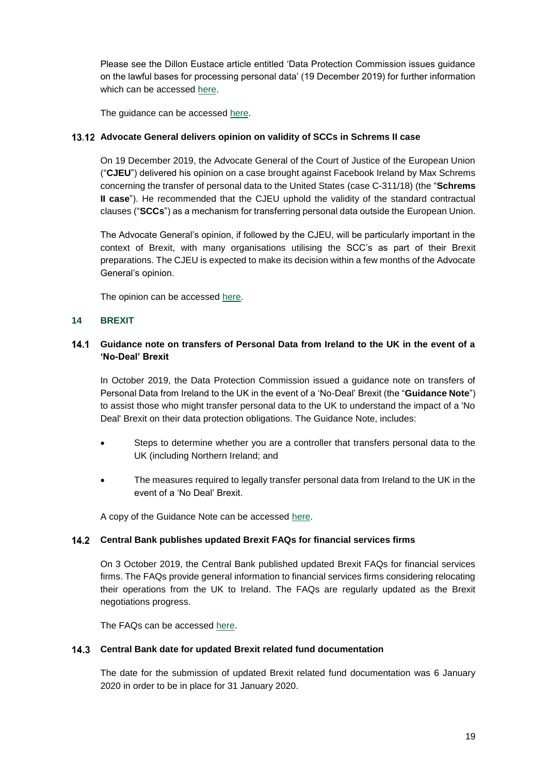Please see the Dillon Eustace article entitled 'Data Protection Commission issues guidance on the lawful bases for processing personal data' (19 December 2019) for further information which can be accessed [here.](https://www.dilloneustace.com/uploads/files/DPC-Guidance-on-Legal-Bases-for-Processing-DE-Client-Briefing_9139212_1.PDF)

The guidance can be accessed [here.](https://www.dataprotection.ie/sites/default/files/uploads/2019-12/Guidance%20on%20Legal%20Bases_Dec19_1.pdf)

#### **Advocate General delivers opinion on validity of SCCs in Schrems II case**

On 19 December 2019, the Advocate General of the Court of Justice of the European Union ("**CJEU**") delivered his opinion on a case brought against Facebook Ireland by Max Schrems concerning the transfer of personal data to the United States (case C-311/18) (the "**Schrems II case**"). He recommended that the CJEU uphold the validity of the standard contractual clauses ("**SCCs**") as a mechanism for transferring personal data outside the European Union.

The Advocate General's opinion, if followed by the CJEU, will be particularly important in the context of Brexit, with many organisations utilising the SCC's as part of their Brexit preparations. The CJEU is expected to make its decision within a few months of the Advocate General's opinion.

The opinion can be accessed [here.](https://eur-lex.europa.eu/legal-content/EN/TXT/HTML/?uri=CELEX:62018CC0311&from=EN)

#### <span id="page-18-0"></span>**14 BREXIT**

#### **Guidance note on transfers of Personal Data from Ireland to the UK in the event of a 'No-Deal' Brexit**

In October 2019, the Data Protection Commission issued a guidance note on transfers of Personal Data from Ireland to the UK in the event of a 'No-Deal' Brexit (the "**Guidance Note**") to assist those who might transfer personal data to the UK to understand the impact of a 'No Deal' Brexit on their data protection obligations. The Guidance Note, includes:

- Steps to determine whether you are a controller that transfers personal data to the UK (including Northern Ireland; and
- The measures required to legally transfer personal data from Ireland to the UK in the event of a 'No Deal' Brexit.

A copy of the Guidance Note can be accessed [here.](https://www.dataprotection.ie/sites/default/files/uploads/2019-10/Guidance%20on%20IE-UK%20Transfers%20under%20No-Deal%20Brexit_Oct19.pdf)

#### **Central Bank publishes updated Brexit FAQs for financial services firms**

On 3 October 2019, the Central Bank published updated Brexit FAQs for financial services firms. The FAQs provide general information to financial services firms considering relocating their operations from the UK to Ireland. The FAQs are regularly updated as the Brexit negotiations progress.

The FAQs can be accessed [here.](https://www.centralbank.ie/regulation/how-we-regulate/brexit-faq)

#### **Central Bank date for updated Brexit related fund documentation**

The date for the submission of updated Brexit related fund documentation was 6 January 2020 in order to be in place for 31 January 2020.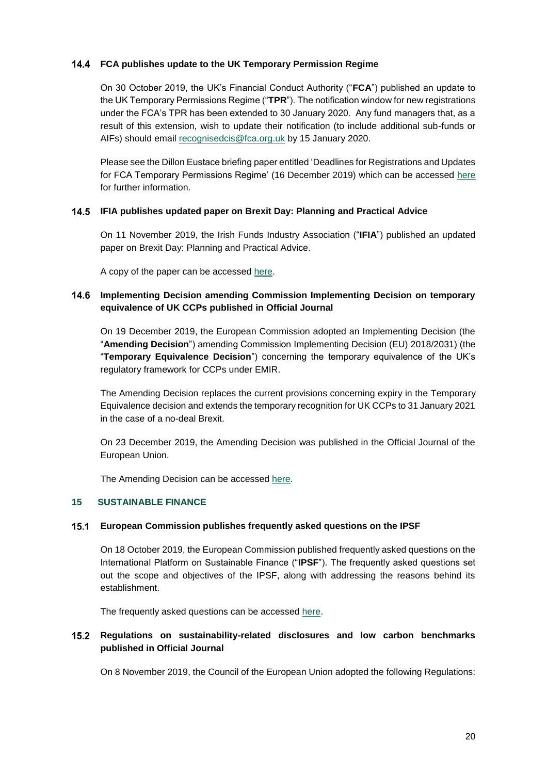### **FCA publishes update to the UK Temporary Permission Regime**

On 30 October 2019, the UK's Financial Conduct Authority ("**FCA**") published an update to the UK Temporary Permissions Regime ("**TPR**"). The notification window for new registrations under the FCA's TPR has been extended to 30 January 2020. Any fund managers that, as a result of this extension, wish to update their notification (to include additional sub-funds or AIFs) should email [recognisedcis@fca.org.uk](mailto:recognisedcis@fca.org.uk) by 15 January 2020.

Please see the Dillon Eustace briefing paper entitled 'Deadlines for Registrations and Updates for FCA Temporary Permissions Regime' (16 December 2019) which can be accessed [here](https://www.dilloneustace.com/uploads/images/UK-Deadlines-for-Registration-or-Updates-for-TPR.PDF) for further information.

#### **IFIA publishes updated paper on Brexit Day: Planning and Practical Advice**

On 11 November 2019, the Irish Funds Industry Association ("**IFIA**") published an updated paper on Brexit Day: Planning and Practical Advice.

A copy of the paper can be accessed [here.](https://irishfunds-secure.s3.amazonaws.com/1573565802-2019-11-irish_funds_brexit_day_planning_nov_2019_final.pdf)

### **Implementing Decision amending Commission Implementing Decision on temporary equivalence of UK CCPs published in Official Journal**

On 19 December 2019, the European Commission adopted an Implementing Decision (the "**Amending Decision**") amending Commission Implementing Decision (EU) 2018/2031) (the "**Temporary Equivalence Decision**") concerning the temporary equivalence of the UK's regulatory framework for CCPs under EMIR.

The Amending Decision replaces the current provisions concerning expiry in the Temporary Equivalence decision and extends the temporary recognition for UK CCPs to 31 January 2021 in the case of a no-deal Brexit.

On 23 December 2019, the Amending Decision was published in the Official Journal of the European Union.

The Amending Decision can be accessed [here.](https://eur-lex.europa.eu/legal-content/EN/TXT/HTML/?uri=CELEX:32019D2211&from=EN)

#### <span id="page-19-0"></span>**15 SUSTAINABLE FINANCE**

#### **European Commission publishes frequently asked questions on the IPSF**

On 18 October 2019, the European Commission published frequently asked questions on the International Platform on Sustainable Finance ("**IPSF**"). The frequently asked questions set out the scope and objectives of the IPSF, along with addressing the reasons behind its establishment.

The frequently asked questions can be accessed [here.](https://ec.europa.eu/commission/presscorner/detail/en/qanda_19_6116)

# **Regulations on sustainability-related disclosures and low carbon benchmarks published in Official Journal**

On 8 November 2019, the Council of the European Union adopted the following Regulations: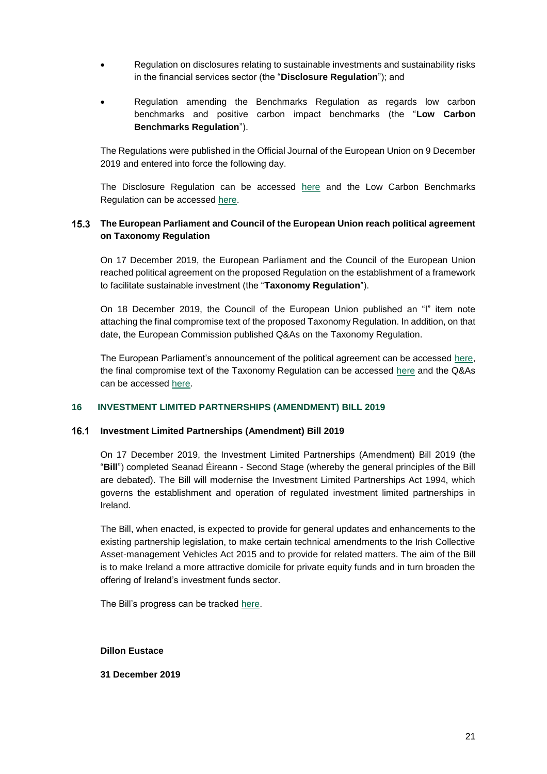- Regulation on disclosures relating to sustainable investments and sustainability risks in the financial services sector (the "**Disclosure Regulation**"); and
- Regulation amending the Benchmarks Regulation as regards low carbon benchmarks and positive carbon impact benchmarks (the "**Low Carbon Benchmarks Regulation**").

The Regulations were published in the Official Journal of the European Union on 9 December 2019 and entered into force the following day.

The Disclosure Regulation can be accessed [here](https://eur-lex.europa.eu/legal-content/EN/TXT/HTML/?uri=CELEX:32019R2088&from=EN) and the Low Carbon Benchmarks Regulation can be accessed [here.](https://eur-lex.europa.eu/legal-content/EN/TXT/HTML/?uri=CELEX:32019R2089&from=EN)

### **The European Parliament and Council of the European Union reach political agreement on Taxonomy Regulation**

On 17 December 2019, the European Parliament and the Council of the European Union reached political agreement on the proposed Regulation on the establishment of a framework to facilitate sustainable investment (the "**Taxonomy Regulation**").

On 18 December 2019, the Council of the European Union published an "I" item note attaching the final compromise text of the proposed Taxonomy Regulation. In addition, on that date, the European Commission published Q&As on the Taxonomy Regulation.

The European Parliament's announcement of the political agreement can be accessed [here,](https://www.europarl.europa.eu/news/en/press-room/20191217IPR69202/climate-change-new-rules-agreed-to-determine-which-investments-are-green) the final compromise text of the Taxonomy Regulation can be accessed [here](https://www.consilium.europa.eu/media/41897/st14970-ad01-en19.pdf?utm_source=dsms-auto&utm_medium=email&utm_campaign=Sustainable+finance%3a+EU+reaches+political+agreement+on+a+unified+EU+classification+system) and the Q&As can be accessed [here.](https://ec.europa.eu/commission/presscorner/detail/en/QANDA_19_6804)

#### <span id="page-20-0"></span>**16 INVESTMENT LIMITED PARTNERSHIPS (AMENDMENT) BILL 2019**

#### **Investment Limited Partnerships (Amendment) Bill 2019**

On 17 December 2019, the Investment Limited Partnerships (Amendment) Bill 2019 (the "**Bill**") completed Seanad Éireann - Second Stage (whereby the general principles of the Bill are debated). The Bill will modernise the Investment Limited Partnerships Act 1994, which governs the establishment and operation of regulated investment limited partnerships in Ireland.

The Bill, when enacted, is expected to provide for general updates and enhancements to the existing partnership legislation, to make certain technical amendments to the Irish Collective Asset-management Vehicles Act 2015 and to provide for related matters. The aim of the Bill is to make Ireland a more attractive domicile for private equity funds and in turn broaden the offering of Ireland's investment funds sector.

The Bill's progress can be tracked [here.](https://www.oireachtas.ie/en/bills/bill/2019/42/)

**Dillon Eustace** 

**31 December 2019**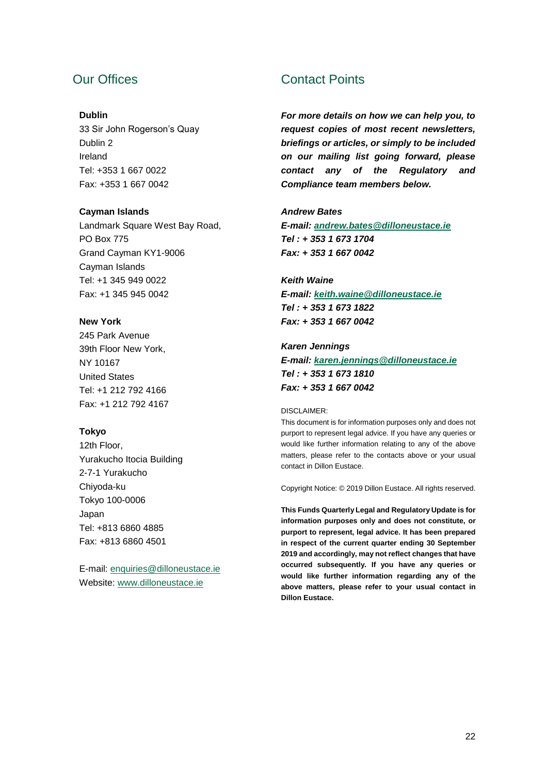# Our Offices

#### **Dublin**

33 Sir John Rogerson's Quay Dublin 2 Ireland Tel: +353 1 667 0022 Fax: +353 1 667 0042

#### **Cayman Islands**

Landmark Square West Bay Road, PO Box 775 Grand Cayman KY1-9006 Cayman Islands Tel: +1 345 949 0022 Fax: +1 345 945 0042

#### **New York**

245 Park Avenue 39th Floor New York, NY 10167 United States Tel: +1 212 792 4166 Fax: +1 212 792 4167

#### **Tokyo**

12th Floor, Yurakucho Itocia Building 2-7-1 Yurakucho Chiyoda-ku Tokyo 100-0006 Japan Tel: +813 6860 4885 Fax: +813 6860 4501

E-mail: [enquiries@dilloneustace.ie](mailto:enquiries@dilloneustace.ie) Website: [www.dilloneustace.ie](http://www.dilloneustace.ie/)

# Contact Points

*For more details on how we can help you, to request copies of most recent newsletters, briefings or articles, or simply to be included on our mailing list going forward, please contact any of the Regulatory and Compliance team members below.*

#### *Andrew Bates*

*E-mail: [andrew.bates@dilloneustace.ie](mailto:andrew.bates@dilloneustace.ie) Tel : + 353 1 673 1704 Fax: + 353 1 667 0042*

#### *Keith Waine*

*E-mail: [keith.waine@dilloneustace.ie](mailto:keith.waine@dilloneustace.ie) Tel : + 353 1 673 1822 Fax: + 353 1 667 0042*

#### *Karen Jennings*

*E-mail: [karen.jennings@dilloneustace.ie](mailto:karen.jennings@dilloneustace.ie) Tel : + 353 1 673 1810 Fax: + 353 1 667 0042*

#### DISCLAIMER:

This document is for information purposes only and does not purport to represent legal advice. If you have any queries or would like further information relating to any of the above matters, please refer to the contacts above or your usual contact in Dillon Eustace.

Copyright Notice: © 2019 Dillon Eustace. All rights reserved.

**This Funds Quarterly Legal and Regulatory Update is for information purposes only and does not constitute, or purport to represent, legal advice. It has been prepared in respect of the current quarter ending 30 September 2019 and accordingly, may not reflect changes that have occurred subsequently. If you have any queries or would like further information regarding any of the above matters, please refer to your usual contact in Dillon Eustace.**